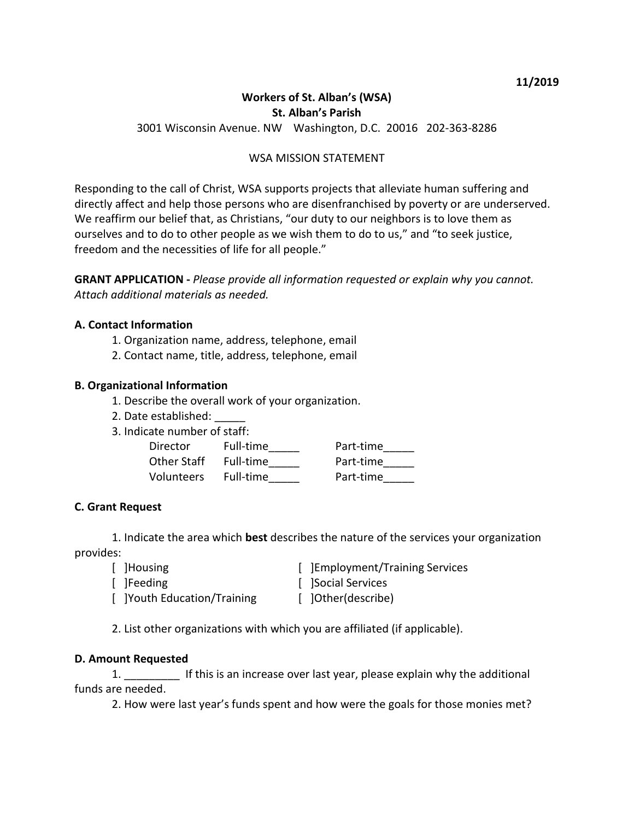# **Workers of St. Alban's (WSA) St. Alban's Parish**

3001 Wisconsin Avenue. NW Washington, D.C. 20016 202-363-8286

# WSA MISSION STATEMENT

Responding to the call of Christ, WSA supports projects that alleviate human suffering and directly affect and help those persons who are disenfranchised by poverty or are underserved. We reaffirm our belief that, as Christians, "our duty to our neighbors is to love them as ourselves and to do to other people as we wish them to do to us," and "to seek justice, freedom and the necessities of life for all people."

**GRANT APPLICATION -** *Please provide all information requested or explain why you cannot. Attach additional materials as needed.*

## **A. Contact Information**

- 1. Organization name, address, telephone, email
- 2. Contact name, title, address, telephone, email

## **B. Organizational Information**

- 1. Describe the overall work of your organization.
- 2. Date established: \_\_\_\_\_
- 3. Indicate number of staff:

| Director    | Full-time | Part-time |
|-------------|-----------|-----------|
| Other Staff | Full-time | Part-time |
| Volunteers  | Full-time | Part-time |

## **C. Grant Request**

1. Indicate the area which **best** describes the nature of the services your organization provides:

[ ]Housing [ ]Employment/Training Services [ ]Feeding [ ]Social Services [ ]Youth Education/Training [ ]Other(describe)

2. List other organizations with which you are affiliated (if applicable).

#### **D. Amount Requested**

1. \_\_\_\_\_\_\_\_\_ If this is an increase over last year, please explain why the additional funds are needed.

2. How were last year's funds spent and how were the goals for those monies met?